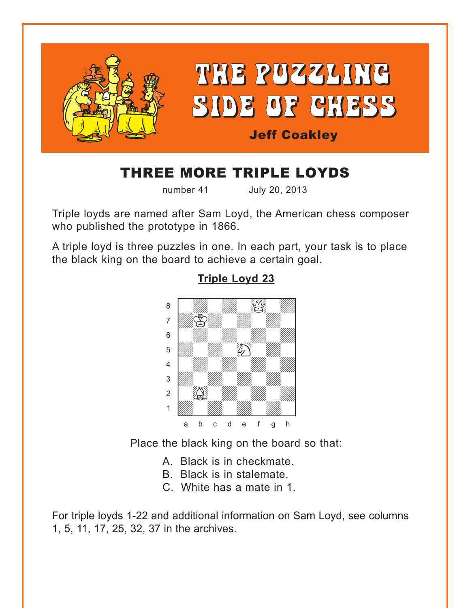<span id="page-0-0"></span>

# THREE MORE TRIPLE LOYDS

number 41 July 20, 2013

Triple loyds are named after Sam Loyd, the American chess composer who published the prototype in 1866.

A triple loyd is three puzzles in one. In each part, your task is to place the black king on the board to achieve a certain goal.



### **[Triple Loyd 23](#page-3-0)**

Place the black king on the board so that:

- A. Black is in checkmate.
- B. Black is in stalemate.
- C. White has a mate in 1.

For triple loyds 1-22 and additional information on Sam Loyd, see columns 1, 5, 11, 17, 25, 32, 37 in the archives.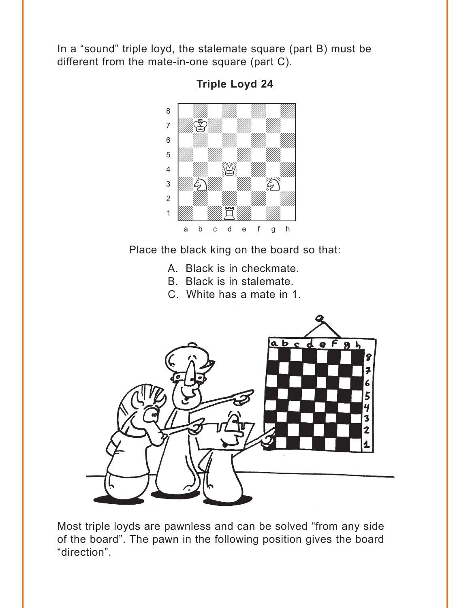<span id="page-1-0"></span>In a "sound" triple loyd, the stalemate square (part B) must be different from the mate-in-one square (part C).



**Triple Loyd 24** 

Place the black king on the board so that:

- A. Black is in checkmate.
- B. Black is in stalemate.
- C. White has a mate in 1.



Most triple loyds are pawnless and can be solved "from any side of the board". The pawn in the following position gives the board "direction".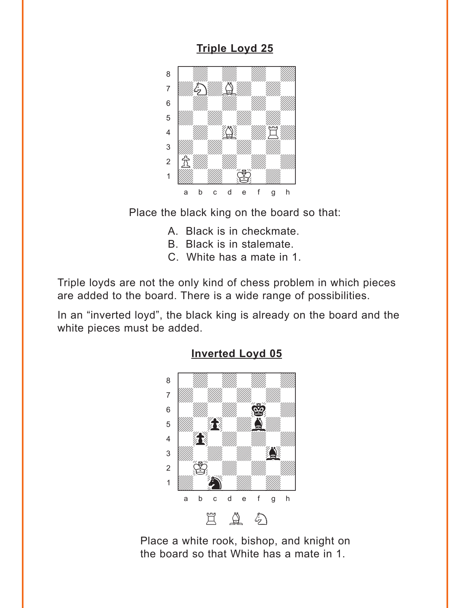## **[Triple Loyd 25](#page-4-0)**

<span id="page-2-0"></span>

Place the black king on the board so that:

- A. Black is in checkmate.
- B. Black is in stalemate.
- C. White has a mate in 1.

Triple loyds are not the only kind of chess problem in which pieces are added to the board. There is a wide range of possibilities.

In an "inverted loyd", the black king is already on the board and the white pieces must be added.



#### **[Inverted Loyd 05](#page-4-0)**

Place a white rook, bishop, and knight on the board so that White has a mate in 1.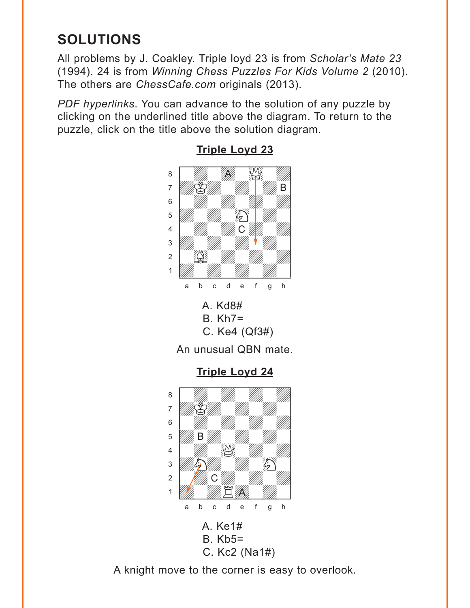# <span id="page-3-0"></span>**SOLUTIONS**

All problems by J. Coakley. Triple loyd 23 is from *Scholar's Mate 23* (1994). 24 is from *Winning Chess Puzzles For Kids Volume 2* (2010). The others are *ChessCafe.com* originals (2013).

*PDF hyperlinks*. You can advance to the solution of any puzzle by clicking on the underlined title above the diagram. To return to the puzzle, click on the title above the solution diagram.



**[Triple Loyd 23](#page-0-0)**

**[Triple Loyd 24](#page-1-0)**





A knight move to the corner is easy to overlook.